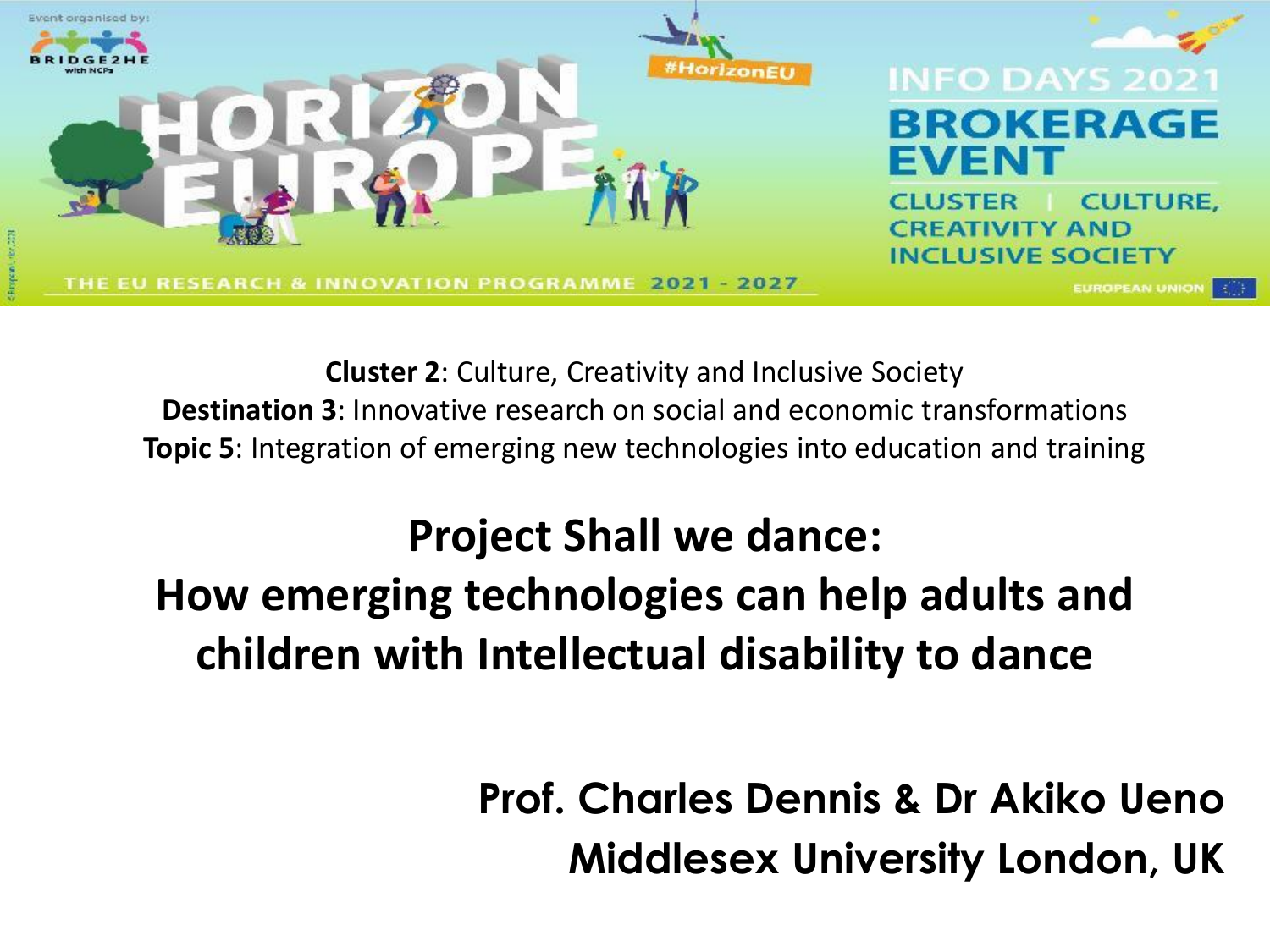

**Cluster 2**: Culture, Creativity and Inclusive Society **Destination 3**: Innovative research on social and economic transformations **Topic 5**: Integration of emerging new technologies into education and training

#### **Project Shall we dance: How emerging technologies can help adults and children with Intellectual disability to dance**

**Prof. Charles Dennis & Dr Akiko Ueno Middlesex University London, UK**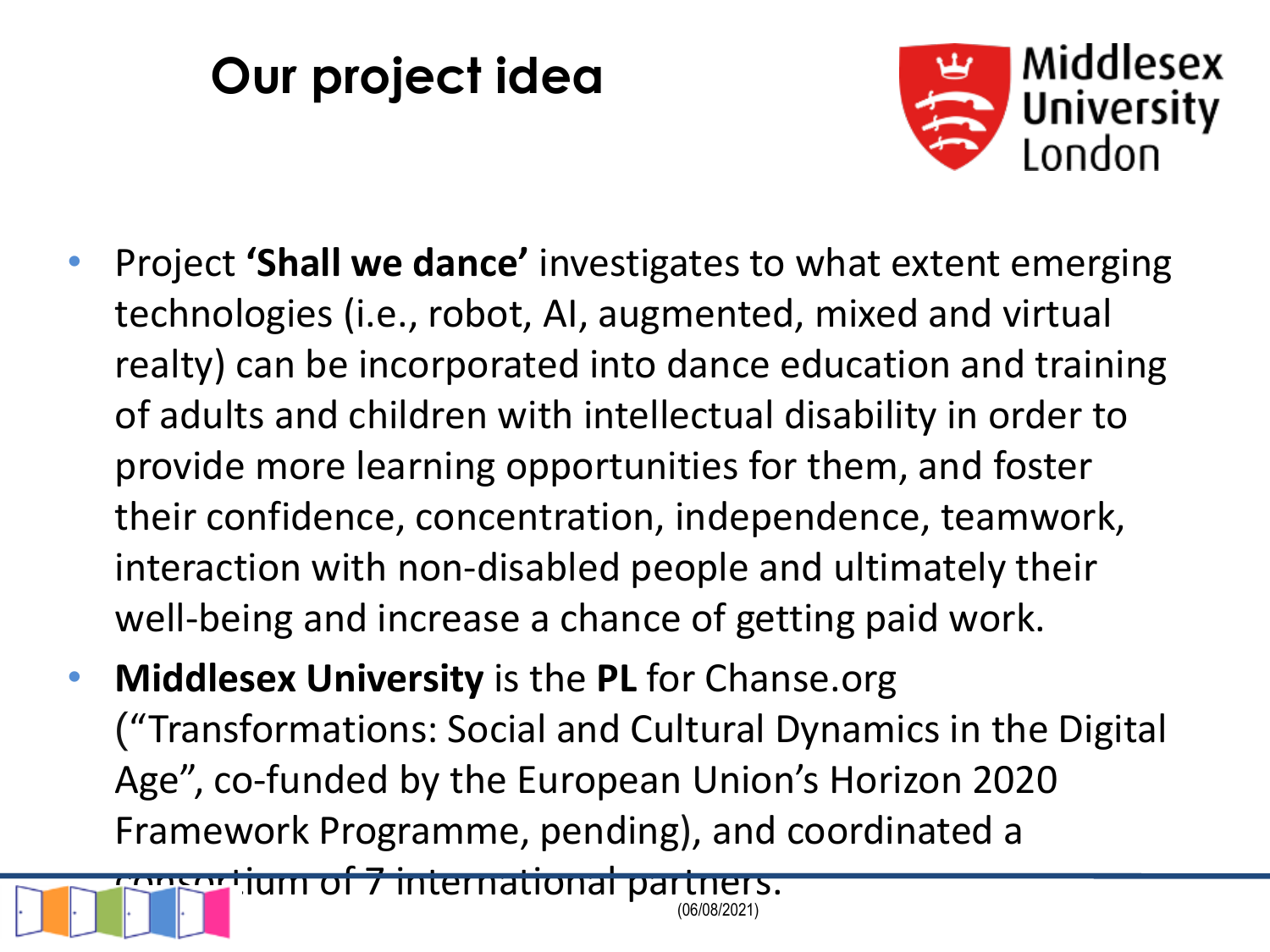# **Our project idea**



- Project **'Shall we dance'** investigates to what extent emerging technologies (i.e., robot, AI, augmented, mixed and virtual realty) can be incorporated into dance education and training of adults and children with intellectual disability in order to provide more learning opportunities for them, and foster their confidence, concentration, independence, teamwork, interaction with non-disabled people and ultimately their well-being and increase a chance of getting paid work.
- **Middlesex University** is the **PL** for Chanse.org ("Transformations: Social and Cultural Dynamics in the Digital Age", co-funded by the European Union's Horizon 2020 Framework Programme, pending), and coordinated a

(06/08/2021) consortium of 7 international partners.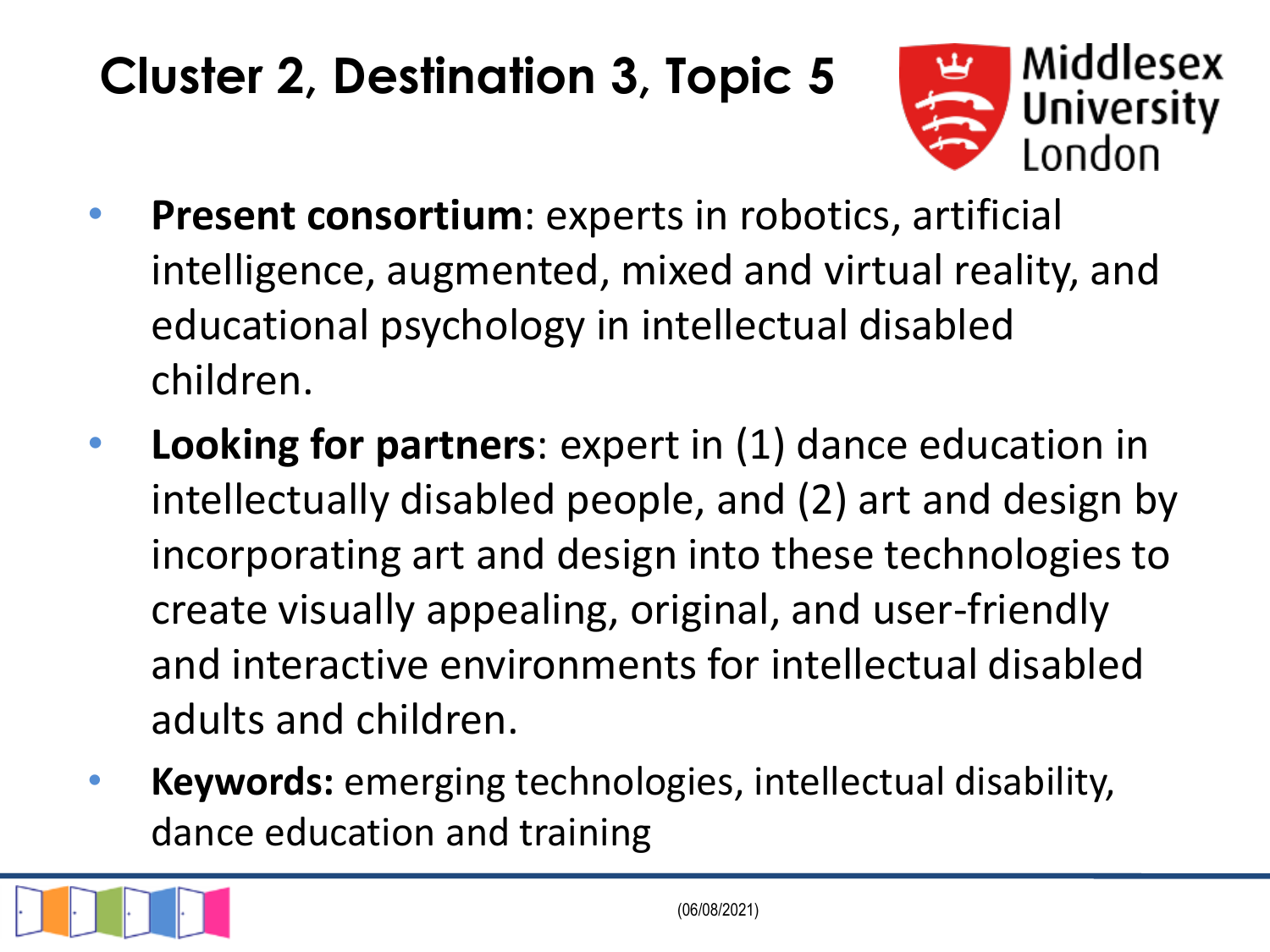### **Cluster 2, Destination 3, Topic 5**



- **Present consortium**: experts in robotics, artificial intelligence, augmented, mixed and virtual reality, and educational psychology in intellectual disabled children.
- **Looking for partners**: expert in (1) dance education in intellectually disabled people, and (2) art and design by incorporating art and design into these technologies to create visually appealing, original, and user-friendly and interactive environments for intellectual disabled adults and children.
- **Keywords:** emerging technologies, intellectual disability, dance education and training